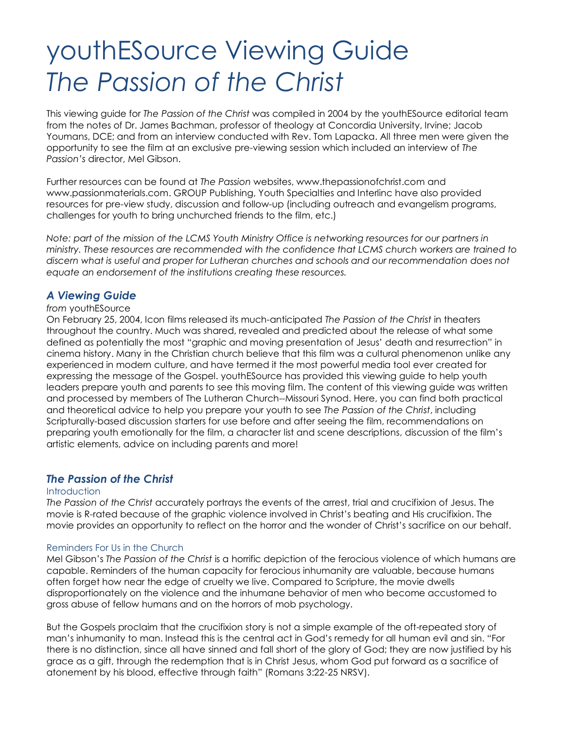# youthESource Viewing Guide *The Passion of the Christ*

This viewing guide for *The Passion of the Christ* was compiled in 2004 by the youthESource editorial team from the notes of Dr. James Bachman, professor of theology at Concordia University, Irvine; Jacob Youmans, DCE; and from an interview conducted with Rev. Tom Lapacka. All three men were given the opportunity to see the film at an exclusive pre-viewing session which included an interview of *The Passion's* director, Mel Gibson.

Further resources can be found at *The Passion* websites, www.thepassionofchrist.com and www.passionmaterials.com. GROUP Publishing, Youth Specialties and Interlinc have also provided resources for pre-view study, discussion and follow-up (including outreach and evangelism programs, challenges for youth to bring unchurched friends to the film, etc.)

*Note: part of the mission of the LCMS Youth Ministry Office is networking resources for our partners in ministry. These resources are recommended with the confidence that LCMS church workers are trained to discern what is useful and proper for Lutheran churches and schools and our recommendation does not equate an endorsement of the institutions creating these resources.*

# *A Viewing Guide*

## *from* youthESource

On February 25, 2004, Icon films released its much-anticipated *The Passion of the Christ* in theaters throughout the country. Much was shared, revealed and predicted about the release of what some defined as potentially the most "graphic and moving presentation of Jesus' death and resurrection" in cinema history. Many in the Christian church believe that this film was a cultural phenomenon unlike any experienced in modern culture, and have termed it the most powerful media tool ever created for expressing the message of the Gospel. youthESource has provided this viewing guide to help youth leaders prepare youth and parents to see this moving film. The content of this viewing guide was written and processed by members of The Lutheran Church--Missouri Synod. Here, you can find both practical and theoretical advice to help you prepare your youth to see *The Passion of the Christ*, including Scripturally-based discussion starters for use before and after seeing the film, recommendations on preparing youth emotionally for the film, a character list and scene descriptions, discussion of the film's artistic elements, advice on including parents and more!

# *The Passion of the Christ*

## Introduction

*The Passion of the Christ* accurately portrays the events of the arrest, trial and crucifixion of Jesus. The movie is R-rated because of the graphic violence involved in Christ's beating and His crucifixion. The movie provides an opportunity to reflect on the horror and the wonder of Christ's sacrifice on our behalf.

## Reminders For Us in the Church

Mel Gibson's *The Passion of the Christ* is a horrific depiction of the ferocious violence of which humans are capable. Reminders of the human capacity for ferocious inhumanity are valuable, because humans often forget how near the edge of cruelty we live. Compared to Scripture, the movie dwells disproportionately on the violence and the inhumane behavior of men who become accustomed to gross abuse of fellow humans and on the horrors of mob psychology.

But the Gospels proclaim that the crucifixion story is not a simple example of the oft-repeated story of man's inhumanity to man. Instead this is the central act in God's remedy for all human evil and sin. "For there is no distinction, since all have sinned and fall short of the glory of God; they are now justified by his grace as a gift, through the redemption that is in Christ Jesus, whom God put forward as a sacrifice of atonement by his blood, effective through faith" (Romans 3:22-25 NRSV).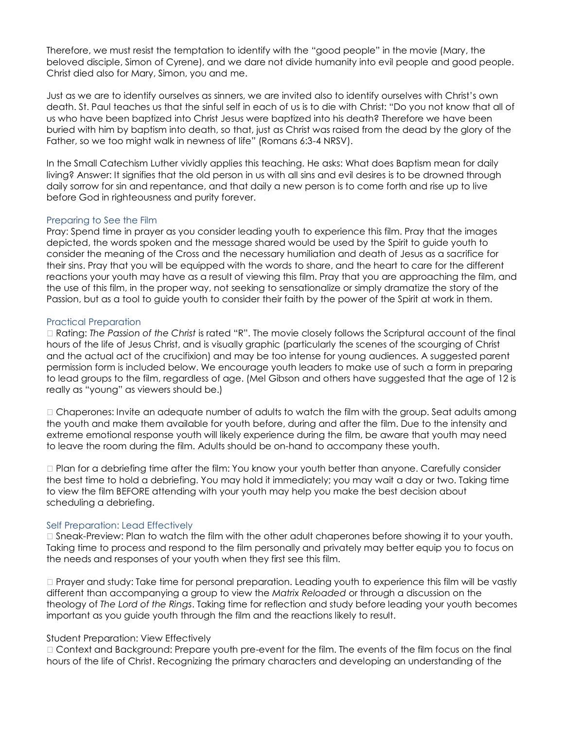Therefore, we must resist the temptation to identify with the "good people" in the movie (Mary, the beloved disciple, Simon of Cyrene), and we dare not divide humanity into evil people and good people. Christ died also for Mary, Simon, you and me.

Just as we are to identify ourselves as sinners, we are invited also to identify ourselves with Christ's own death. St. Paul teaches us that the sinful self in each of us is to die with Christ: "Do you not know that all of us who have been baptized into Christ Jesus were baptized into his death? Therefore we have been buried with him by baptism into death, so that, just as Christ was raised from the dead by the glory of the Father, so we too might walk in newness of life" (Romans 6:3-4 NRSV).

In the Small Catechism Luther vividly applies this teaching. He asks: What does Baptism mean for daily living? Answer: It signifies that the old person in us with all sins and evil desires is to be drowned through daily sorrow for sin and repentance, and that daily a new person is to come forth and rise up to live before God in righteousness and purity forever.

## Preparing to See the Film

Pray: Spend time in prayer as you consider leading youth to experience this film. Pray that the images depicted, the words spoken and the message shared would be used by the Spirit to guide youth to consider the meaning of the Cross and the necessary humiliation and death of Jesus as a sacrifice for their sins. Pray that you will be equipped with the words to share, and the heart to care for the different reactions your youth may have as a result of viewing this film. Pray that you are approaching the film, and the use of this film, in the proper way, not seeking to sensationalize or simply dramatize the story of the Passion, but as a tool to guide youth to consider their faith by the power of the Spirit at work in them.

## Practical Preparation

 Rating: *The Passion of the Christ* is rated "R". The movie closely follows the Scriptural account of the final hours of the life of Jesus Christ, and is visually graphic (particularly the scenes of the scourging of Christ and the actual act of the crucifixion) and may be too intense for young audiences. A suggested parent permission form is included below. We encourage youth leaders to make use of such a form in preparing to lead groups to the film, regardless of age. (Mel Gibson and others have suggested that the age of 12 is really as "young" as viewers should be.)

 $\Box$  Chaperones: Invite an adequate number of adults to watch the film with the group. Seat adults among the youth and make them available for youth before, during and after the film. Due to the intensity and extreme emotional response youth will likely experience during the film, be aware that youth may need to leave the room during the film. Adults should be on-hand to accompany these youth.

 Plan for a debriefing time after the film: You know your youth better than anyone. Carefully consider the best time to hold a debriefing. You may hold it immediately; you may wait a day or two. Taking time to view the film BEFORE attending with your youth may help you make the best decision about scheduling a debriefing.

#### Self Preparation: Lead Effectively

 $\Box$  Sneak-Preview: Plan to watch the film with the other adult chaperones before showing it to your youth. Taking time to process and respond to the film personally and privately may better equip you to focus on the needs and responses of your youth when they first see this film.

□ Prayer and study: Take time for personal preparation. Leading youth to experience this film will be vastly different than accompanying a group to view the *Matrix Reloaded* or through a discussion on the theology of *The Lord of the Rings*. Taking time for reflection and study before leading your youth becomes important as you guide youth through the film and the reactions likely to result.

#### Student Preparation: View Effectively

 Context and Background: Prepare youth pre-event for the film. The events of the film focus on the final hours of the life of Christ. Recognizing the primary characters and developing an understanding of the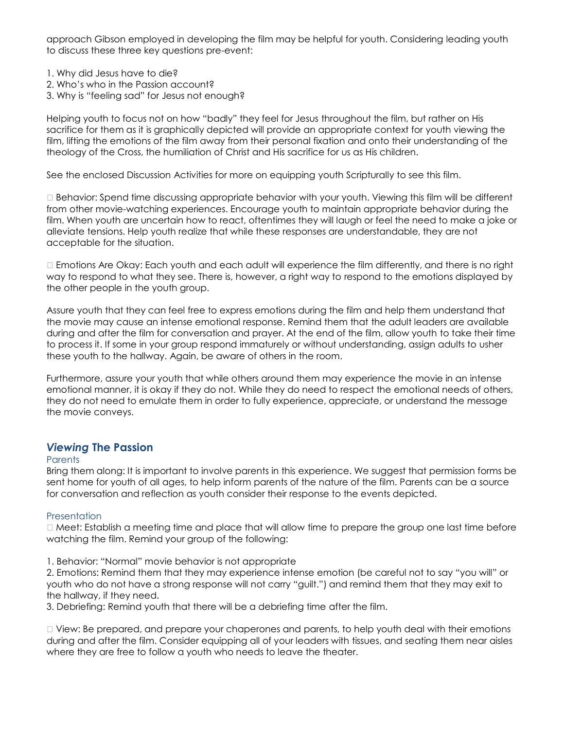approach Gibson employed in developing the film may be helpful for youth. Considering leading youth to discuss these three key questions pre-event:

- 1. Why did Jesus have to die?
- 2. Who's who in the Passion account?
- 3. Why is "feeling sad" for Jesus not enough?

Helping youth to focus not on how "badly" they feel for Jesus throughout the film, but rather on His sacrifice for them as it is graphically depicted will provide an appropriate context for youth viewing the film, lifting the emotions of the film away from their personal fixation and onto their understanding of the theology of the Cross, the humiliation of Christ and His sacrifice for us as His children.

See the enclosed Discussion Activities for more on equipping youth Scripturally to see this film.

 Behavior: Spend time discussing appropriate behavior with your youth. Viewing this film will be different from other movie-watching experiences. Encourage youth to maintain appropriate behavior during the film. When youth are uncertain how to react, oftentimes they will laugh or feel the need to make a joke or alleviate tensions. Help youth realize that while these responses are understandable, they are not acceptable for the situation.

 Emotions Are Okay: Each youth and each adult will experience the film differently, and there is no right way to respond to what they see. There is, however, a right way to respond to the emotions displayed by the other people in the youth group.

Assure youth that they can feel free to express emotions during the film and help them understand that the movie may cause an intense emotional response. Remind them that the adult leaders are available during and after the film for conversation and prayer. At the end of the film, allow youth to take their time to process it. If some in your group respond immaturely or without understanding, assign adults to usher these youth to the hallway. Again, be aware of others in the room.

Furthermore, assure your youth that while others around them may experience the movie in an intense emotional manner, it is okay if they do not. While they do need to respect the emotional needs of others, they do not need to emulate them in order to fully experience, appreciate, or understand the message the movie conveys.

# *Viewing* **The Passion**

#### **Parents**

Bring them along: It is important to involve parents in this experience. We suggest that permission forms be sent home for youth of all ages, to help inform parents of the nature of the film. Parents can be a source for conversation and reflection as youth consider their response to the events depicted.

## **Presentation**

 Meet: Establish a meeting time and place that will allow time to prepare the group one last time before watching the film. Remind your group of the following:

1. Behavior: "Normal" movie behavior is not appropriate

2. Emotions: Remind them that they may experience intense emotion (be careful not to say "you will" or youth who do not have a strong response will not carry "guilt.") and remind them that they may exit to the hallway, if they need.

3. Debriefing: Remind youth that there will be a debriefing time after the film.

 $\Box$  View: Be prepared, and prepare your chaperones and parents, to help youth deal with their emotions during and after the film. Consider equipping all of your leaders with tissues, and seating them near aisles where they are free to follow a youth who needs to leave the theater.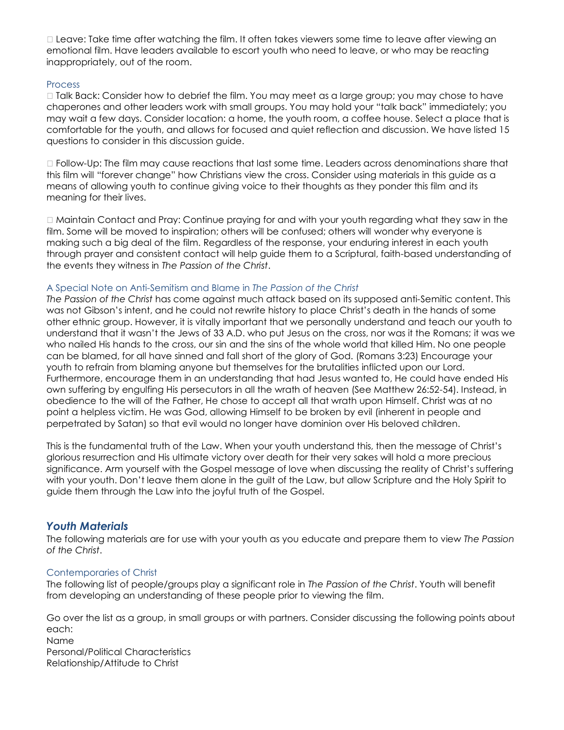Leave: Take time after watching the film. It often takes viewers some time to leave after viewing an emotional film. Have leaders available to escort youth who need to leave, or who may be reacting inappropriately, out of the room.

## **Process**

□ Talk Back: Consider how to debrief the film. You may meet as a large group; you may chose to have chaperones and other leaders work with small groups. You may hold your "talk back" immediately; you may wait a few days. Consider location: a home, the youth room, a coffee house. Select a place that is comfortable for the youth, and allows for focused and quiet reflection and discussion. We have listed 15 questions to consider in this discussion guide.

 Follow-Up: The film may cause reactions that last some time. Leaders across denominations share that this film will "forever change" how Christians view the cross. Consider using materials in this guide as a means of allowing youth to continue giving voice to their thoughts as they ponder this film and its meaning for their lives.

 Maintain Contact and Pray: Continue praying for and with your youth regarding what they saw in the film. Some will be moved to inspiration; others will be confused; others will wonder why everyone is making such a big deal of the film. Regardless of the response, your enduring interest in each youth through prayer and consistent contact will help guide them to a Scriptural, faith-based understanding of the events they witness in *The Passion of the Christ*.

## A Special Note on Anti-Semitism and Blame in *The Passion of the Christ*

*The Passion of the Christ* has come against much attack based on its supposed anti-Semitic content. This was not Gibson's intent, and he could not rewrite history to place Christ's death in the hands of some other ethnic group. However, it is vitally important that we personally understand and teach our youth to understand that it wasn't the Jews of 33 A.D. who put Jesus on the cross, nor was it the Romans; it was we who nailed His hands to the cross, our sin and the sins of the whole world that killed Him. No one people can be blamed, for all have sinned and fall short of the glory of God. (Romans 3:23) Encourage your youth to refrain from blaming anyone but themselves for the brutalities inflicted upon our Lord. Furthermore, encourage them in an understanding that had Jesus wanted to, He could have ended His own suffering by engulfing His persecutors in all the wrath of heaven (See Matthew 26:52-54). Instead, in obedience to the will of the Father, He chose to accept all that wrath upon Himself. Christ was at no point a helpless victim. He was God, allowing Himself to be broken by evil (inherent in people and perpetrated by Satan) so that evil would no longer have dominion over His beloved children.

This is the fundamental truth of the Law. When your youth understand this, then the message of Christ's glorious resurrection and His ultimate victory over death for their very sakes will hold a more precious significance. Arm yourself with the Gospel message of love when discussing the reality of Christ's suffering with your youth. Don't leave them alone in the guilt of the Law, but allow Scripture and the Holy Spirit to guide them through the Law into the joyful truth of the Gospel.

# *Youth Materials*

The following materials are for use with your youth as you educate and prepare them to view *The Passion of the Christ*.

# Contemporaries of Christ

The following list of people/groups play a significant role in *The Passion of the Christ*. Youth will benefit from developing an understanding of these people prior to viewing the film.

Go over the list as a group, in small groups or with partners. Consider discussing the following points about each: Name Personal/Political Characteristics Relationship/Attitude to Christ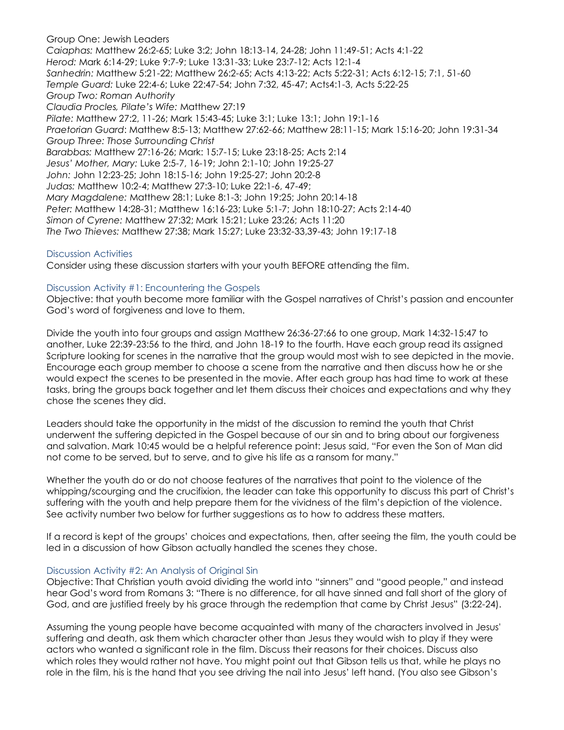Group One: Jewish Leaders *Caiaphas:* Matthew 26:2-65; Luke 3:2; John 18:13-14, 24-28; John 11:49-51; Acts 4:1-22 *Herod:* Mark 6:14-29; Luke 9:7-9; Luke 13:31-33; Luke 23:7-12; Acts 12:1-4 *Sanhedrin:* Matthew 5:21-22; Matthew 26:2-65; Acts 4:13-22; Acts 5:22-31; Acts 6:12-15; 7:1, 51-60 *Temple Guard:* Luke 22:4-6; Luke 22:47-54; John 7:32, 45-47; Acts4:1-3, Acts 5:22-25 *Group Two: Roman Authority Claudia Procles, Pilate's Wife:* Matthew 27:19 *Pilate:* Matthew 27:2, 11-26; Mark 15:43-45; Luke 3:1; Luke 13:1; John 19:1-16 *Praetorian Guard*: Matthew 8:5-13; Matthew 27:62-66; Matthew 28:11-15; Mark 15:16-20; John 19:31-34 *Group Three: Those Surrounding Christ Barabbas:* Matthew 27:16-26; Mark: 15:7-15; Luke 23:18-25; Acts 2:14 *Jesus' Mother, Mary:* Luke 2:5-7, 16-19; John 2:1-10; John 19:25-27 *John:* John 12:23-25; John 18:15-16; John 19:25-27; John 20:2-8 *Judas:* Matthew 10:2-4; Matthew 27:3-10; Luke 22:1-6, 47-49; *Mary Magdalene:* Matthew 28:1; Luke 8:1-3; John 19:25; John 20:14-18 *Peter:* Matthew 14:28-31; Matthew 16:16-23; Luke 5:1-7; John 18:10-27; Acts 2:14-40 *Simon of Cyrene:* Matthew 27:32; Mark 15:21; Luke 23:26; Acts 11:20 *The Two Thieves:* Matthew 27:38; Mark 15:27; Luke 23:32-33,39-43; John 19:17-18

## Discussion Activities

Consider using these discussion starters with your youth BEFORE attending the film.

#### Discussion Activity #1: Encountering the Gospels

Objective: that youth become more familiar with the Gospel narratives of Christ's passion and encounter God's word of forgiveness and love to them.

Divide the youth into four groups and assign Matthew 26:36-27:66 to one group, Mark 14:32-15:47 to another, Luke 22:39-23:56 to the third, and John 18-19 to the fourth. Have each group read its assigned Scripture looking for scenes in the narrative that the group would most wish to see depicted in the movie. Encourage each group member to choose a scene from the narrative and then discuss how he or she would expect the scenes to be presented in the movie. After each group has had time to work at these tasks, bring the groups back together and let them discuss their choices and expectations and why they chose the scenes they did.

Leaders should take the opportunity in the midst of the discussion to remind the youth that Christ underwent the suffering depicted in the Gospel because of our sin and to bring about our forgiveness and salvation. Mark 10:45 would be a helpful reference point: Jesus said, "For even the Son of Man did not come to be served, but to serve, and to give his life as a ransom for many."

Whether the youth do or do not choose features of the narratives that point to the violence of the whipping/scourging and the crucifixion, the leader can take this opportunity to discuss this part of Christ's suffering with the youth and help prepare them for the vividness of the film's depiction of the violence. See activity number two below for further suggestions as to how to address these matters.

If a record is kept of the groups' choices and expectations, then, after seeing the film, the youth could be led in a discussion of how Gibson actually handled the scenes they chose.

#### Discussion Activity #2: An Analysis of Original Sin

Objective: That Christian youth avoid dividing the world into "sinners" and "good people," and instead hear God's word from Romans 3: "There is no difference, for all have sinned and fall short of the glory of God, and are justified freely by his grace through the redemption that came by Christ Jesus" (3:22-24).

Assuming the young people have become acquainted with many of the characters involved in Jesus' suffering and death, ask them which character other than Jesus they would wish to play if they were actors who wanted a significant role in the film. Discuss their reasons for their choices. Discuss also which roles they would rather not have. You might point out that Gibson tells us that, while he plays no role in the film, his is the hand that you see driving the nail into Jesus' left hand. (You also see Gibson's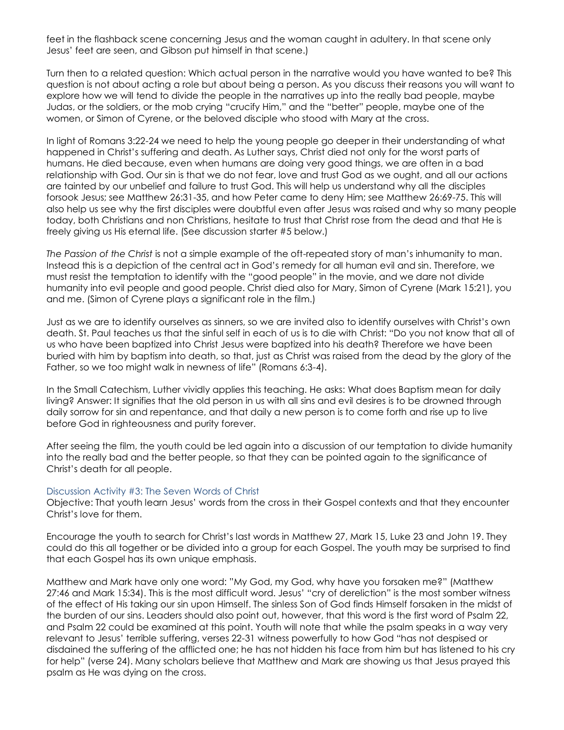feet in the flashback scene concerning Jesus and the woman caught in adultery. In that scene only Jesus' feet are seen, and Gibson put himself in that scene.)

Turn then to a related question: Which actual person in the narrative would you have wanted to be? This question is not about acting a role but about being a person. As you discuss their reasons you will want to explore how we will tend to divide the people in the narratives up into the really bad people, maybe Judas, or the soldiers, or the mob crying "crucify Him," and the "better" people, maybe one of the women, or Simon of Cyrene, or the beloved disciple who stood with Mary at the cross.

In light of Romans 3:22-24 we need to help the young people go deeper in their understanding of what happened in Christ's suffering and death. As Luther says, Christ died not only for the worst parts of humans. He died because, even when humans are doing very good things, we are often in a bad relationship with God. Our sin is that we do not fear, love and trust God as we ought, and all our actions are tainted by our unbelief and failure to trust God. This will help us understand why all the disciples forsook Jesus; see Matthew 26:31-35, and how Peter came to deny Him; see Matthew 26:69-75. This will also help us see why the first disciples were doubtful even after Jesus was raised and why so many people today, both Christians and non Christians, hesitate to trust that Christ rose from the dead and that He is freely giving us His eternal life. (See discussion starter #5 below.)

*The Passion of the Christ* is not a simple example of the oft-repeated story of man's inhumanity to man. Instead this is a depiction of the central act in God's remedy for all human evil and sin. Therefore, we must resist the temptation to identify with the "good people" in the movie, and we dare not divide humanity into evil people and good people. Christ died also for Mary, Simon of Cyrene (Mark 15:21), you and me. (Simon of Cyrene plays a significant role in the film.)

Just as we are to identify ourselves as sinners, so we are invited also to identify ourselves with Christ's own death. St. Paul teaches us that the sinful self in each of us is to die with Christ: "Do you not know that all of us who have been baptized into Christ Jesus were baptized into his death? Therefore we have been buried with him by baptism into death, so that, just as Christ was raised from the dead by the glory of the Father, so we too might walk in newness of life" (Romans 6:3-4).

In the Small Catechism, Luther vividly applies this teaching. He asks: What does Baptism mean for daily living? Answer: It signifies that the old person in us with all sins and evil desires is to be drowned through daily sorrow for sin and repentance, and that daily a new person is to come forth and rise up to live before God in righteousness and purity forever.

After seeing the film, the youth could be led again into a discussion of our temptation to divide humanity into the really bad and the better people, so that they can be pointed again to the significance of Christ's death for all people.

#### Discussion Activity #3: The Seven Words of Christ

Objective: That youth learn Jesus' words from the cross in their Gospel contexts and that they encounter Christ's love for them.

Encourage the youth to search for Christ's last words in Matthew 27, Mark 15, Luke 23 and John 19. They could do this all together or be divided into a group for each Gospel. The youth may be surprised to find that each Gospel has its own unique emphasis.

Matthew and Mark have only one word: "My God, my God, why have you forsaken me?" (Matthew 27:46 and Mark 15:34). This is the most difficult word. Jesus' "cry of dereliction" is the most somber witness of the effect of His taking our sin upon Himself. The sinless Son of God finds Himself forsaken in the midst of the burden of our sins. Leaders should also point out, however, that this word is the first word of Psalm 22, and Psalm 22 could be examined at this point. Youth will note that while the psalm speaks in a way very relevant to Jesus' terrible suffering, verses 22-31 witness powerfully to how God "has not despised or disdained the suffering of the afflicted one; he has not hidden his face from him but has listened to his cry for help" (verse 24). Many scholars believe that Matthew and Mark are showing us that Jesus prayed this psalm as He was dying on the cross.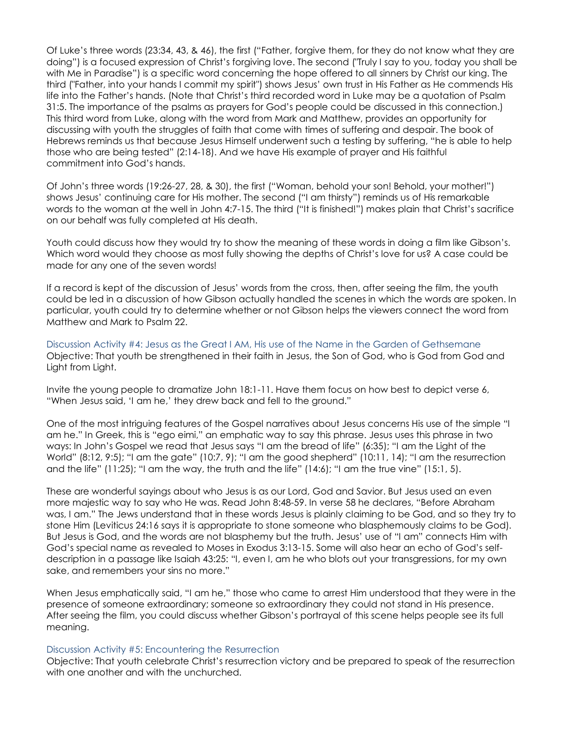Of Luke's three words (23:34, 43, & 46), the first ("Father, forgive them, for they do not know what they are doing") is a focused expression of Christ's forgiving love. The second ("Truly I say to you, today you shall be with Me in Paradise") is a specific word concerning the hope offered to all sinners by Christ our king. The third ("Father, into your hands I commit my spirit") shows Jesus' own trust in His Father as He commends His life into the Father's hands. (Note that Christ's third recorded word in Luke may be a quotation of Psalm 31:5. The importance of the psalms as prayers for God's people could be discussed in this connection.) This third word from Luke, along with the word from Mark and Matthew, provides an opportunity for discussing with youth the struggles of faith that come with times of suffering and despair. The book of Hebrews reminds us that because Jesus Himself underwent such a testing by suffering, "he is able to help those who are being tested" (2:14-18). And we have His example of prayer and His faithful commitment into God's hands.

Of John's three words (19:26-27, 28, & 30), the first ("Woman, behold your son! Behold, your mother!") shows Jesus' continuing care for His mother. The second ("I am thirsty") reminds us of His remarkable words to the woman at the well in John 4:7-15. The third ("It is finished!") makes plain that Christ's sacrifice on our behalf was fully completed at His death.

Youth could discuss how they would try to show the meaning of these words in doing a film like Gibson's. Which word would they choose as most fully showing the depths of Christ's love for us? A case could be made for any one of the seven words!

If a record is kept of the discussion of Jesus' words from the cross, then, after seeing the film, the youth could be led in a discussion of how Gibson actually handled the scenes in which the words are spoken. In particular, youth could try to determine whether or not Gibson helps the viewers connect the word from Matthew and Mark to Psalm 22.

Discussion Activity #4: Jesus as the Great I AM, His use of the Name in the Garden of Gethsemane Objective: That youth be strengthened in their faith in Jesus, the Son of God, who is God from God and Light from Light.

Invite the young people to dramatize John 18:1-11. Have them focus on how best to depict verse 6, "When Jesus said, 'I am he,' they drew back and fell to the ground."

One of the most intriguing features of the Gospel narratives about Jesus concerns His use of the simple "I am he." In Greek, this is "ego eimi," an emphatic way to say this phrase. Jesus uses this phrase in two ways: In John's Gospel we read that Jesus says "I am the bread of life" (6:35); "I am the Light of the World" (8:12, 9:5); "I am the gate" (10:7, 9); "I am the good shepherd" (10:11, 14); "I am the resurrection and the life" (11:25); "I am the way, the truth and the life" (14:6); "I am the true vine" (15:1, 5).

These are wonderful sayings about who Jesus is as our Lord, God and Savior. But Jesus used an even more majestic way to say who He was. Read John 8:48-59. In verse 58 he declares, "Before Abraham was, I am." The Jews understand that in these words Jesus is plainly claiming to be God, and so they try to stone Him (Leviticus 24:16 says it is appropriate to stone someone who blasphemously claims to be God). But Jesus is God, and the words are not blasphemy but the truth. Jesus' use of "I am" connects Him with God's special name as revealed to Moses in Exodus 3:13-15. Some will also hear an echo of God's selfdescription in a passage like Isaiah 43:25: "I, even I, am he who blots out your transgressions, for my own sake, and remembers your sins no more."

When Jesus emphatically said, "I am he," those who came to arrest Him understood that they were in the presence of someone extraordinary; someone so extraordinary they could not stand in His presence. After seeing the film, you could discuss whether Gibson's portrayal of this scene helps people see its full meaning.

#### Discussion Activity #5: Encountering the Resurrection

Objective: That youth celebrate Christ's resurrection victory and be prepared to speak of the resurrection with one another and with the unchurched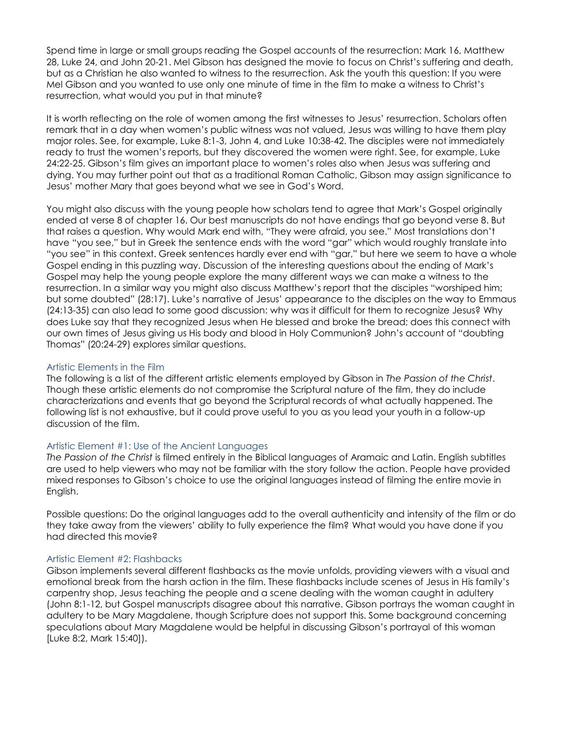Spend time in large or small groups reading the Gospel accounts of the resurrection: Mark 16, Matthew 28, Luke 24, and John 20-21. Mel Gibson has designed the movie to focus on Christ's suffering and death, but as a Christian he also wanted to witness to the resurrection. Ask the youth this question: If you were Mel Gibson and you wanted to use only one minute of time in the film to make a witness to Christ's resurrection, what would you put in that minute?

It is worth reflecting on the role of women among the first witnesses to Jesus' resurrection. Scholars often remark that in a day when women's public witness was not valued, Jesus was willing to have them play major roles. See, for example, Luke 8:1-3, John 4, and Luke 10:38-42. The disciples were not immediately ready to trust the women's reports, but they discovered the women were right. See, for example, Luke 24:22-25. Gibson's film gives an important place to women's roles also when Jesus was suffering and dying. You may further point out that as a traditional Roman Catholic, Gibson may assign significance to Jesus' mother Mary that goes beyond what we see in God's Word.

You might also discuss with the young people how scholars tend to agree that Mark's Gospel originally ended at verse 8 of chapter 16. Our best manuscripts do not have endings that go beyond verse 8. But that raises a question. Why would Mark end with, "They were afraid, you see." Most translations don't have "you see," but in Greek the sentence ends with the word "gar" which would roughly translate into "you see" in this context. Greek sentences hardly ever end with "gar," but here we seem to have a whole Gospel ending in this puzzling way. Discussion of the interesting questions about the ending of Mark's Gospel may help the young people explore the many different ways we can make a witness to the resurrection. In a similar way you might also discuss Matthew's report that the disciples "worshiped him; but some doubted" (28:17). Luke's narrative of Jesus' appearance to the disciples on the way to Emmaus (24:13-35) can also lead to some good discussion: why was it difficult for them to recognize Jesus? Why does Luke say that they recognized Jesus when He blessed and broke the bread; does this connect with our own times of Jesus giving us His body and blood in Holy Communion? John's account of "doubting Thomas" (20:24-29) explores similar questions.

## Artistic Elements in the Film

The following is a list of the different artistic elements employed by Gibson in *The Passion of the Christ*. Though these artistic elements do not compromise the Scriptural nature of the film, they do include characterizations and events that go beyond the Scriptural records of what actually happened. The following list is not exhaustive, but it could prove useful to you as you lead your youth in a follow-up discussion of the film.

## Artistic Element #1: Use of the Ancient Languages

*The Passion of the Christ* is filmed entirely in the Biblical languages of Aramaic and Latin. English subtitles are used to help viewers who may not be familiar with the story follow the action. People have provided mixed responses to Gibson's choice to use the original languages instead of filming the entire movie in English.

Possible questions: Do the original languages add to the overall authenticity and intensity of the film or do they take away from the viewers' ability to fully experience the film? What would you have done if you had directed this movie?

#### Artistic Element #2: Flashbacks

Gibson implements several different flashbacks as the movie unfolds, providing viewers with a visual and emotional break from the harsh action in the film. These flashbacks include scenes of Jesus in His family's carpentry shop, Jesus teaching the people and a scene dealing with the woman caught in adultery (John 8:1-12, but Gospel manuscripts disagree about this narrative. Gibson portrays the woman caught in adultery to be Mary Magdalene, though Scripture does not support this. Some background concerning speculations about Mary Magdalene would be helpful in discussing Gibson's portrayal of this woman [Luke 8:2, Mark 15:40]).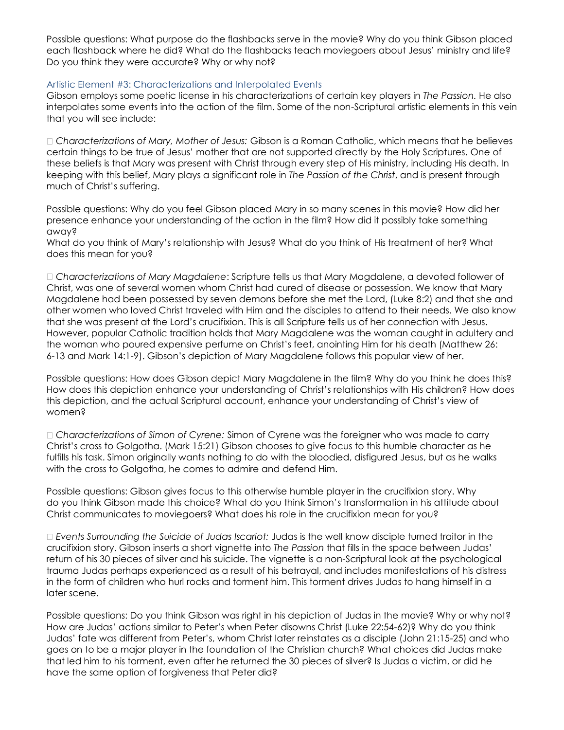Possible questions: What purpose do the flashbacks serve in the movie? Why do you think Gibson placed each flashback where he did? What do the flashbacks teach moviegoers about Jesus' ministry and life? Do you think they were accurate? Why or why not?

## Artistic Element #3: Characterizations and Interpolated Events

Gibson employs some poetic license in his characterizations of certain key players in *The Passion.* He also interpolates some events into the action of the film. Some of the non-Scriptural artistic elements in this vein that you will see include:

*Characterizations of Mary, Mother of Jesus:* Gibson is a Roman Catholic, which means that he believes certain things to be true of Jesus' mother that are not supported directly by the Holy Scriptures. One of these beliefs is that Mary was present with Christ through every step of His ministry, including His death. In keeping with this belief, Mary plays a significant role in *The Passion of the Christ*, and is present through much of Christ's suffering.

Possible questions: Why do you feel Gibson placed Mary in so many scenes in this movie? How did her presence enhance your understanding of the action in the film? How did it possibly take something away?

What do you think of Mary's relationship with Jesus? What do you think of His treatment of her? What does this mean for you?

*Characterizations of Mary Magdalene*: Scripture tells us that Mary Magdalene, a devoted follower of Christ, was one of several women whom Christ had cured of disease or possession. We know that Mary Magdalene had been possessed by seven demons before she met the Lord, (Luke 8:2) and that she and other women who loved Christ traveled with Him and the disciples to attend to their needs. We also know that she was present at the Lord's crucifixion. This is all Scripture tells us of her connection with Jesus. However, popular Catholic tradition holds that Mary Magdalene was the woman caught in adultery and the woman who poured expensive perfume on Christ's feet, anointing Him for his death (Matthew 26: 6-13 and Mark 14:1-9). Gibson's depiction of Mary Magdalene follows this popular view of her.

Possible questions: How does Gibson depict Mary Magdalene in the film? Why do you think he does this? How does this depiction enhance your understanding of Christ's relationships with His children? How does this depiction, and the actual Scriptural account, enhance your understanding of Christ's view of women?

*Characterizations of Simon of Cyrene:* Simon of Cyrene was the foreigner who was made to carry Christ's cross to Golgotha. (Mark 15:21) Gibson chooses to give focus to this humble character as he fulfills his task. Simon originally wants nothing to do with the bloodied, disfigured Jesus, but as he walks with the cross to Golgotha, he comes to admire and defend Him.

Possible questions: Gibson gives focus to this otherwise humble player in the crucifixion story. Why do you think Gibson made this choice? What do you think Simon's transformation in his attitude about Christ communicates to moviegoers? What does his role in the crucifixion mean for you?

*Events Surrounding the Suicide of Judas Iscariot:* Judas is the well know disciple turned traitor in the crucifixion story. Gibson inserts a short vignette into *The Passion* that fills in the space between Judas' return of his 30 pieces of silver and his suicide. The vignette is a non-Scriptural look at the psychological trauma Judas perhaps experienced as a result of his betrayal, and includes manifestations of his distress in the form of children who hurl rocks and torment him. This torment drives Judas to hang himself in a later scene.

Possible questions: Do you think Gibson was right in his depiction of Judas in the movie? Why or why not? How are Judas' actions similar to Peter's when Peter disowns Christ (Luke 22:54-62)? Why do you think Judas' fate was different from Peter's, whom Christ later reinstates as a disciple (John 21:15-25) and who goes on to be a major player in the foundation of the Christian church? What choices did Judas make that led him to his torment, even after he returned the 30 pieces of silver? Is Judas a victim, or did he have the same option of forgiveness that Peter did?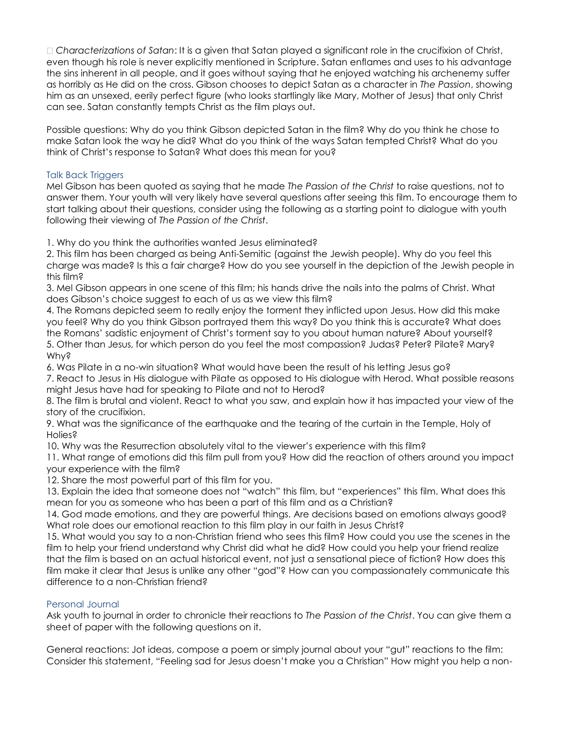*Characterizations of Satan*: It is a given that Satan played a significant role in the crucifixion of Christ, even though his role is never explicitly mentioned in Scripture. Satan enflames and uses to his advantage the sins inherent in all people, and it goes without saying that he enjoyed watching his archenemy suffer as horribly as He did on the cross. Gibson chooses to depict Satan as a character in *The Passion*, showing him as an unsexed, eerily perfect figure (who looks startlingly like Mary, Mother of Jesus) that only Christ can see. Satan constantly tempts Christ as the film plays out.

Possible questions: Why do you think Gibson depicted Satan in the film? Why do you think he chose to make Satan look the way he did? What do you think of the ways Satan tempted Christ? What do you think of Christ's response to Satan? What does this mean for you?

## Talk Back Triggers

Mel Gibson has been quoted as saying that he made *The Passion of the Christ* to raise questions, not to answer them. Your youth will very likely have several questions after seeing this film. To encourage them to start talking about their questions, consider using the following as a starting point to dialogue with youth following their viewing of *The Passion of the Christ*.

1. Why do you think the authorities wanted Jesus eliminated?

2. This film has been charged as being Anti-Semitic (against the Jewish people). Why do you feel this charge was made? Is this a fair charge? How do you see yourself in the depiction of the Jewish people in this film?

3. Mel Gibson appears in one scene of this film; his hands drive the nails into the palms of Christ. What does Gibson's choice suggest to each of us as we view this film?

4. The Romans depicted seem to really enjoy the torment they inflicted upon Jesus. How did this make you feel? Why do you think Gibson portrayed them this way? Do you think this is accurate? What does the Romans' sadistic enjoyment of Christ's torment say to you about human nature? About yourself? 5. Other than Jesus, for which person do you feel the most compassion? Judas? Peter? Pilate? Mary? Why?

6. Was Pilate in a no-win situation? What would have been the result of his letting Jesus go?

7. React to Jesus in His dialogue with Pilate as opposed to His dialogue with Herod. What possible reasons might Jesus have had for speaking to Pilate and not to Herod?

8. The film is brutal and violent. React to what you saw, and explain how it has impacted your view of the story of the crucifixion.

9. What was the significance of the earthquake and the tearing of the curtain in the Temple, Holy of Holies?

10. Why was the Resurrection absolutely vital to the viewer's experience with this film?

11. What range of emotions did this film pull from you? How did the reaction of others around you impact your experience with the film?

12. Share the most powerful part of this film for you.

13. Explain the idea that someone does not "watch" this film, but "experiences" this film. What does this mean for you as someone who has been a part of this film and as a Christian?

14. God made emotions, and they are powerful things. Are decisions based on emotions always good? What role does our emotional reaction to this film play in our faith in Jesus Christ?

15. What would you say to a non-Christian friend who sees this film? How could you use the scenes in the film to help your friend understand why Christ did what he did? How could you help your friend realize that the film is based on an actual historical event, not just a sensational piece of fiction? How does this film make it clear that Jesus is unlike any other "god"? How can you compassionately communicate this difference to a non-Christian friend?

# Personal Journal

Ask youth to journal in order to chronicle their reactions to *The Passion of the Christ*. You can give them a sheet of paper with the following questions on it.

General reactions: Jot ideas, compose a poem or simply journal about your "gut" reactions to the film: Consider this statement, "Feeling sad for Jesus doesn't make you a Christian" How might you help a non-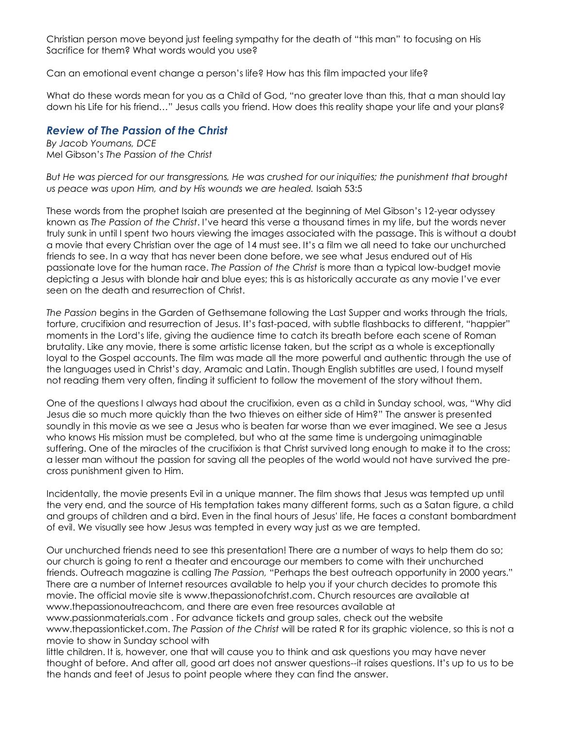Christian person move beyond just feeling sympathy for the death of "this man" to focusing on His Sacrifice for them? What words would you use?

Can an emotional event change a person's life? How has this film impacted your life?

What do these words mean for you as a Child of God, "no greater love than this, that a man should lay down his Life for his friend…" Jesus calls you friend. How does this reality shape your life and your plans?

# *Review of The Passion of the Christ*

*By Jacob Youmans, DCE* Mel Gibson's *The Passion of the Christ*

*But He was pierced for our transgressions, He was crushed for our iniquities; the punishment that brought us peace was upon Him, and by His wounds we are healed.* Isaiah 53:5

These words from the prophet Isaiah are presented at the beginning of Mel Gibson's 12-year odyssey known as *The Passion of the Christ*. I've heard this verse a thousand times in my life, but the words never truly sunk in until I spent two hours viewing the images associated with the passage. This is without a doubt a movie that every Christian over the age of 14 must see. It's a film we all need to take our unchurched friends to see. In a way that has never been done before, we see what Jesus endured out of His passionate love for the human race. *The Passion of the Christ* is more than a typical low-budget movie depicting a Jesus with blonde hair and blue eyes; this is as historically accurate as any movie I've ever seen on the death and resurrection of Christ.

*The Passion* begins in the Garden of Gethsemane following the Last Supper and works through the trials, torture, crucifixion and resurrection of Jesus. It's fast-paced, with subtle flashbacks to different, "happier" moments in the Lord's life, giving the audience time to catch its breath before each scene of Roman brutality. Like any movie, there is some artistic license taken, but the script as a whole is exceptionally loyal to the Gospel accounts. The film was made all the more powerful and authentic through the use of the languages used in Christ's day, Aramaic and Latin. Though English subtitles are used, I found myself not reading them very often, finding it sufficient to follow the movement of the story without them.

One of the questions I always had about the crucifixion, even as a child in Sunday school, was, "Why did Jesus die so much more quickly than the two thieves on either side of Him?" The answer is presented soundly in this movie as we see a Jesus who is beaten far worse than we ever imagined. We see a Jesus who knows His mission must be completed, but who at the same time is undergoing unimaginable suffering. One of the miracles of the crucifixion is that Christ survived long enough to make it to the cross; a lesser man without the passion for saving all the peoples of the world would not have survived the precross punishment given to Him.

Incidentally, the movie presents Evil in a unique manner. The film shows that Jesus was tempted up until the very end, and the source of His temptation takes many different forms, such as a Satan figure, a child and groups of children and a bird. Even in the final hours of Jesus' life, He faces a constant bombardment of evil. We visually see how Jesus was tempted in every way just as we are tempted.

Our unchurched friends need to see this presentation! There are a number of ways to help them do so; our church is going to rent a theater and encourage our members to come with their unchurched friends. Outreach magazine is calling *The Passion,* "Perhaps the best outreach opportunity in 2000 years." There are a number of Internet resources available to help you if your church decides to promote this movie. The official movie site is www.thepassionofchrist.com. Church resources are available at www.thepassionoutreachcom, and there are even free resources available at www.passionmaterials.com . For advance tickets and group sales, check out the website www.thepassionticket.com. *The Passion of the Christ* will be rated R for its graphic violence, so this is not a movie to show in Sunday school with little children. It is, however, one that will cause you to think and ask questions you may have never thought of before. And after all, good art does not answer questions--it raises questions. It's up to us to be the hands and feet of Jesus to point people where they can find the answer.